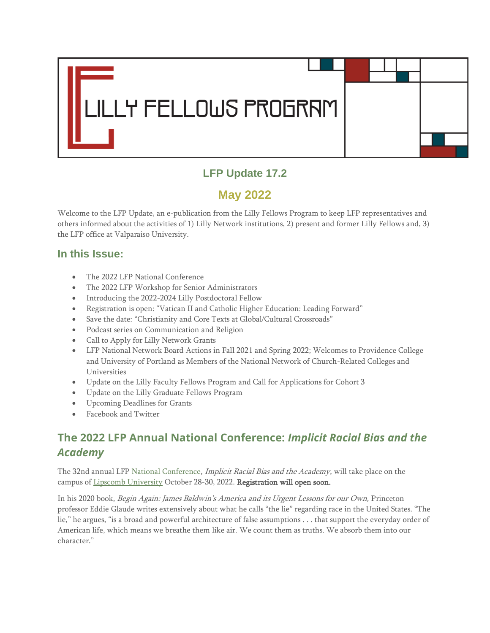

## **LFP Update 17.2**

# **May 2022**

Welcome to the LFP Update, an e-publication from the Lilly Fellows Program to keep LFP representatives and others informed about the activities of 1) Lilly Network institutions, 2) present and former Lilly Fellows and, 3) the LFP office at Valparaiso University.

#### **In this Issue:**

- The 2022 LFP National Conference
- The 2022 LFP Workshop for Senior Administrators
- Introducing the 2022-2024 Lilly Postdoctoral Fellow
- Registration is open: "Vatican II and Catholic Higher Education: Leading Forward"
- Save the date: "Christianity and Core Texts at Global/Cultural Crossroads"
- Podcast series on Communication and Religion
- Call to Apply for Lilly Network Grants
- LFP National Network Board Actions in Fall 2021 and Spring 2022; Welcomes to Providence College and University of Portland as Members of the National Network of Church-Related Colleges and Universities
- Update on the Lilly Faculty Fellows Program and Call for Applications for Cohort 3
- Update on the Lilly Graduate Fellows Program
- Upcoming Deadlines for Grants
- Facebook and Twitter

## **The 2022 LFP Annual National Conference:** *Implicit Racial Bias and the Academy*

The 32nd annual LFP [National Conference,](https://lillyfellows.org/network/national-conference/) Implicit Racial Bias and the Academy, will take place on the campus of [Lipscomb University](https://www.lipscomb.edu/) October 28-30, 2022. Registration will open soon.

In his 2020 book, Begin Again: James Baldwin's America and its Urgent Lessons for our Own, Princeton professor Eddie Glaude writes extensively about what he calls "the lie" regarding race in the United States. "The lie," he argues, "is a broad and powerful architecture of false assumptions . . . that support the everyday order of American life, which means we breathe them like air. We count them as truths. We absorb them into our character."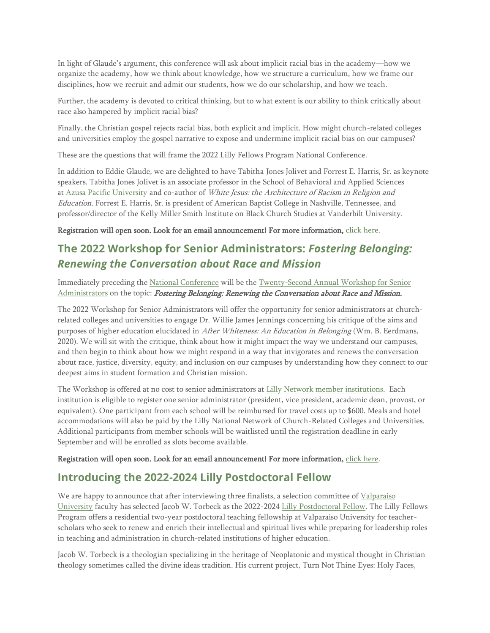In light of Glaude's argument, this conference will ask about implicit racial bias in the academy—how we organize the academy, how we think about knowledge, how we structure a curriculum, how we frame our disciplines, how we recruit and admit our students, how we do our scholarship, and how we teach.

Further, the academy is devoted to critical thinking, but to what extent is our ability to think critically about race also hampered by implicit racial bias?

Finally, the Christian gospel rejects racial bias, both explicit and implicit. How might church-related colleges and universities employ the gospel narrative to expose and undermine implicit racial bias on our campuses?

These are the questions that will frame the 2022 Lilly Fellows Program National Conference.

In addition to Eddie Glaude, we are delighted to have Tabitha Jones Jolivet and Forrest E. Harris, Sr. as keynote speakers. Tabitha Jones Jolivet is an associate professor in the School of Behavioral and Applied Sciences at [Azusa Pacific University](https://apu.edu/) and co-author of White Jesus: the Architecture of Racism in Religion and Education. Forrest E. Harris, Sr. is president of American Baptist College in Nashville, Tennessee, and professor/director of the Kelly Miller Smith Institute on Black Church Studies at Vanderbilt University.

#### Registration will open soon. Look for an email announcement! For more information, [click here.](https://www.lillyfellows.org/events/national-conference/)

### **The 2022 Workshop for Senior Administrators:** *Fostering Belonging: Renewing the Conversation about Race and Mission*

Immediately preceding the [National Conference](http://www.lillyfellows.org/network/national-conference/) will be the [Twenty-Second Annual Workshop for Senior](http://www.lillyfellows.org/network/administrators-workshop/)  [Administrators](http://www.lillyfellows.org/network/administrators-workshop/) on the topic: Fostering Belonging: Renewing the Conversation about Race and Mission.

The 2022 Workshop for Senior Administrators will offer the opportunity for senior administrators at churchrelated colleges and universities to engage Dr. Willie James Jennings concerning his critique of the aims and purposes of higher education elucidated in After Whiteness: An Education in Belonging (Wm. B. Eerdmans, 2020). We will sit with the critique, think about how it might impact the way we understand our campuses, and then begin to think about how we might respond in a way that invigorates and renews the conversation about race, justice, diversity, equity, and inclusion on our campuses by understanding how they connect to our deepest aims in student formation and Christian mission.

The Workshop is offered at no cost to senior administrators at [Lilly Network member institutions.](http://www.lillyfellows.org/network/member-directory/) Each institution is eligible to register one senior administrator (president, vice president, academic dean, provost, or equivalent). One participant from each school will be reimbursed for travel costs up to \$600. Meals and hotel accommodations will also be paid by the Lilly National Network of Church-Related Colleges and Universities. Additional participants from member schools will be waitlisted until the registration deadline in early September and will be enrolled as slots become available.

Registration will open soon. Look for an email announcement! For more information, [click here.](http://www.lillyfellows.org/network/administrators-workshop/)

#### **Introducing the 2022-2024 Lilly Postdoctoral Fellow**

We are happy to announce that after interviewing three finalists, a selection committee of Valparaiso [University](http://www.valpo.edu/) faculty has selected Jacob W. Torbeck as the 2022-2024 [Lilly Postdoctoral Fellow.](http://www.lillyfellows.org/postdoctoral-fellows-program/about/) The Lilly Fellows Program offers a residential two-year postdoctoral teaching fellowship at Valparaiso University for teacherscholars who seek to renew and enrich their intellectual and spiritual lives while preparing for leadership roles in teaching and administration in church-related institutions of higher education.

Jacob W. Torbeck is a theologian specializing in the heritage of Neoplatonic and mystical thought in Christian theology sometimes called the divine ideas tradition. His current project, Turn Not Thine Eyes: Holy Faces,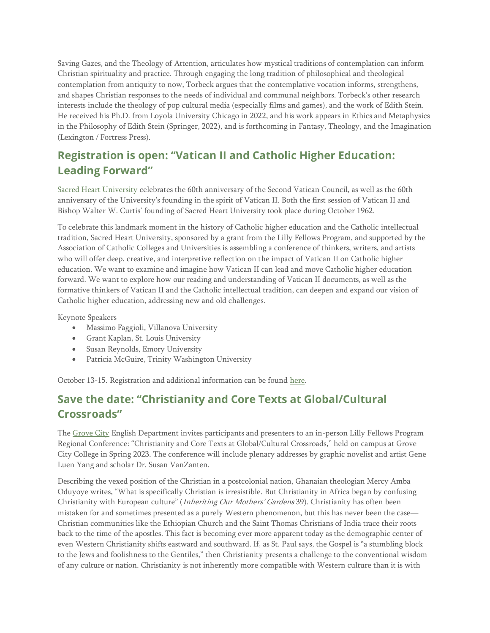Saving Gazes, and the Theology of Attention, articulates how mystical traditions of contemplation can inform Christian spirituality and practice. Through engaging the long tradition of philosophical and theological contemplation from antiquity to now, Torbeck argues that the contemplative vocation informs, strengthens, and shapes Christian responses to the needs of individual and communal neighbors. Torbeck's other research interests include the theology of pop cultural media (especially films and games), and the work of Edith Stein. He received his Ph.D. from Loyola University Chicago in 2022, and his work appears in Ethics and Metaphysics in the Philosophy of Edith Stein (Springer, 2022), and is forthcoming in Fantasy, Theology, and the Imagination (Lexington / Fortress Press).

# **Registration is open: "Vatican II and Catholic Higher Education: Leading Forward"**

[Sacred Heart University](https://www.lillyfellows.org/sacredheart.edu) celebrates the 60th anniversary of the Second Vatican Council, as well as the 60th anniversary of the University's founding in the spirit of Vatican II. Both the first session of Vatican II and Bishop Walter W. Curtis' founding of Sacred Heart University took place during October 1962.

To celebrate this landmark moment in the history of Catholic higher education and the Catholic intellectual tradition, Sacred Heart University, sponsored by a grant from the Lilly Fellows Program, and supported by the Association of Catholic Colleges and Universities is assembling a conference of thinkers, writers, and artists who will offer deep, creative, and interpretive reflection on the impact of Vatican II on Catholic higher education. We want to examine and imagine how Vatican II can lead and move Catholic higher education forward. We want to explore how our reading and understanding of Vatican II documents, as well as the formative thinkers of Vatican II and the Catholic intellectual tradition, can deepen and expand our vision of Catholic higher education, addressing new and old challenges.

Keynote Speakers

- Massimo Faggioli, Villanova University
- Grant Kaplan, St. Louis University
- Susan Reynolds, Emory University
- Patricia McGuire, Trinity Washington University

October 13-15. Registration and additional information can be found [here.](https://www.lillyfellows.org/events/lilly-network-conferences-and-collaborations/vatican-ii-and-higher-education/)

## **Save the date: "Christianity and Core Texts at Global/Cultural Crossroads"**

The [Grove City](https://www.lillyfellows.org/gcc.edu) English Department invites participants and presenters to an in-person Lilly Fellows Program Regional Conference: "Christianity and Core Texts at Global/Cultural Crossroads," held on campus at Grove City College in Spring 2023. The conference will include plenary addresses by graphic novelist and artist Gene Luen Yang and scholar Dr. Susan VanZanten.

Describing the vexed position of the Christian in a postcolonial nation, Ghanaian theologian Mercy Amba Oduyoye writes, "What is specifically Christian is irresistible. But Christianity in Africa began by confusing Christianity with European culture" (*Inheriting Our Mothers' Gardens* 39). Christianity has often been mistaken for and sometimes presented as a purely Western phenomenon, but this has never been the case— Christian communities like the Ethiopian Church and the Saint Thomas Christians of India trace their roots back to the time of the apostles. This fact is becoming ever more apparent today as the demographic center of even Western Christianity shifts eastward and southward. If, as St. Paul says, the Gospel is "a stumbling block to the Jews and foolishness to the Gentiles," then Christianity presents a challenge to the conventional wisdom of any culture or nation. Christianity is not inherently more compatible with Western culture than it is with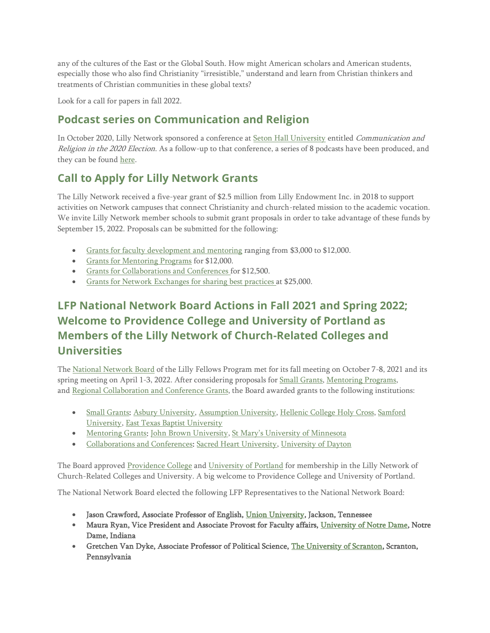any of the cultures of the East or the Global South. How might American scholars and American students, especially those who also find Christianity "irresistible," understand and learn from Christian thinkers and treatments of Christian communities in these global texts?

Look for a call for papers in fall 2022.

### **Podcast series on Communication and Religion**

In October 2020, Lilly Network sponsored a conference at [Seton Hall University](https://www.lillyfellows.org/shu.edu) entitled Communication and Religion in the 2020 Election. As a follow-up to that conference, a series of 8 podcasts have been produced, and they can be found [here.](https://instituteforcommunicationandreligion.podbean.com/)

### **Call to Apply for Lilly Network Grants**

The Lilly Network received a five-year grant of \$2.5 million from Lilly Endowment Inc. in 2018 to support activities on Network campuses that connect Christianity and church-related mission to the academic vocation. We invite Lilly Network member schools to submit grant proposals in order to take advantage of these funds by September 15, 2022. Proposals can be submitted for the following:

- [Grants for faculty development and mentoring](http://www.lillyfellows.org/grants-and-prizes/about/) ranging from \$3,000 to \$12,000.
- [Grants for Mentoring Programs](https://lillyfellows.org/grants-and-prizes/mentoring/) for \$12,000.
- [Grants for Collaborations and Conferences](http://www.lillyfellows.org/grants-and-prizes/regional-conferences/) for \$12,500.
- [Grants for Network Exchanges for sharing best practices](http://www.lillyfellows.org/grants-and-prizes/network-exchange/) at \$25,000.

# **LFP National Network Board Actions in Fall 2021 and Spring 2022; Welcome to Providence College and University of Portland as Members of the Lilly Network of Church-Related Colleges and Universities**

The [National Network Board](http://www.lillyfellows.org/about/national-network-board/) of the Lilly Fellows Program met for its fall meeting on October 7-8, 2021 and its spring meeting on April 1-3, 2022. After considering proposals for [Small Grants,](http://www.lillyfellows.org/grants-and-prizes/small-grants/) [Mentoring Programs,](http://www.lillyfellows.org/grants-and-prizes/mentoring/)  and [Regional Collaboration and Conference](http://www.lillyfellows.org/grants-and-prizes/regional-conferences/) Grants, the Board awarded grants to the following institutions:

- [Small Grants:](http://www.lillyfellows.org/grants-and-prizes/small-grants/) [Asbury University,](https://www.lillyfellows.org/asbury.edu) [Assumption University,](https://www.lillyfellows.org/assumption.edu) [Hellenic College Holy Cross,](https://www.lillyfellows.org/hchc.edu) Samford [University,](https://www.lillyfellows.org/samford.edu) [East Texas Baptist University](https://www.lillyfellows.org/etbu.edu)
- [Mentoring Grants:](http://www.lillyfellows.org/grants-and-prizes/mentoring/) [John Brown University,](https://www.lillyfellows.org/jbu.edu) [St Mary's University of Minnesota](https://www.lillyfellows.org/smumn.edu)
- [Collaborations and Conferences:](http://www.lillyfellows.org/grants-and-prizes/regional-conferences/) [Sacred Heart University,](https://www.lillyfellows.org/sacredheart.edu) [University of Dayton](https://www.lillyfellows.org/ud.edu)

The Board approved [Providence College](https://www.lillyfellows.org/providence.edu) and [University of Portland](https://www.up.edu/) for membership in the Lilly Network of Church-Related Colleges and University. A big welcome to Providence College and University of Portland.

The National Network Board elected the following LFP Representatives to the National Network Board:

- Jason Crawford, Associate Professor of English, [Union University,](https://www.lillyfellows.org/uu.edu) Jackson, Tennessee
- Maura Ryan, Vice President and Associate Provost for Faculty affairs, [University of Notre Dame,](https://www.lillyfellows.org/nd.edu) Notre Dame, Indiana
- Gretchen Van Dyke, Associate Professor of Political Science, [The University of Scranton,](https://www.lillyfellows.org/scranton.edu) Scranton, Pennsylvania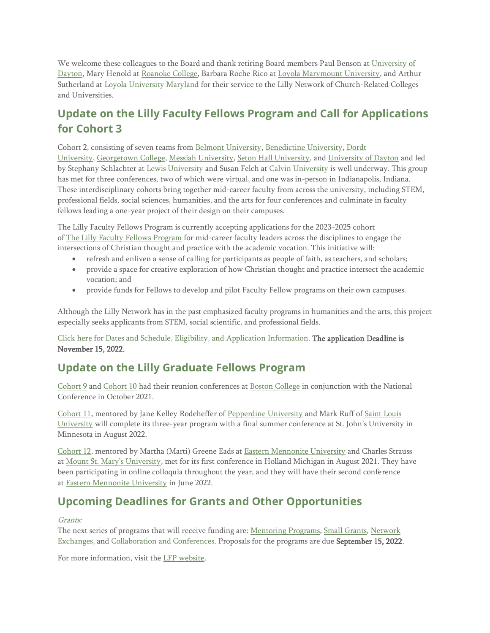We welcome these colleagues to the Board and thank retiring Board members Paul Benson at [University of](https://www.lillyfellows.org/ud.edu)  [Dayton,](https://www.lillyfellows.org/ud.edu) Mary Henold at [Roanoke College,](https://www.lillyfellows.org/roanoke.edu) Barbara Roche Rico at [Loyola Marymount University,](https://www.lillyfellows.org/lmu.edu) and Arthur Sutherland at [Loyola University Maryland](https://www.lillyfellows.org/loyola.edu) for their service to the Lilly Network of Church-Related Colleges and Universities.

## **Update on the Lilly Faculty Fellows Program and Call for Applications for Cohort 3**

Cohort 2, consisting of seven teams from [Belmont University,](https://www.belmont.edu/) [Benedictine University,](https://www.ben.edu/) [Dordt](https://www.dordt.edu/)  [University,](https://www.dordt.edu/) [Georgetown College,](http://www.georgetowncollege.edu/) [Messiah University,](https://www.messiah.edu/) [Seton Hall University,](https://www.shu.edu/) and [University of Dayton](https://udayton.edu/) and led by Stephany Schlachter at [Lewis University](https://www.lewisu.edu/) and Susan Felch at [Calvin University](https://calvin.edu/) is well underway. This group has met for three conferences, two of which were virtual, and one was in-person in Indianapolis, Indiana. These interdisciplinary cohorts bring together mid-career faculty from across the university, including STEM, professional fields, social sciences, humanities, and the arts for four conferences and culminate in faculty fellows leading a one-year project of their design on their campuses.

The Lilly Faculty Fellows Program is currently accepting applications for the 2023-2025 cohort of The Lilly Faculty Fellows [Program](https://www.lillyfellows.org/faculty-fellows-program/lilly-faculty-fellows-program/) for mid-career faculty leaders across the disciplines to engage the intersections of Christian thought and practice with the academic vocation. This initiative will:

- refresh and enliven a sense of calling for participants as people of faith, as teachers, and scholars;
- provide a space for creative exploration of how Christian thought and practice intersect the academic vocation; and
- provide funds for Fellows to develop and pilot Faculty Fellow programs on their own campuses.

Although the Lilly Network has in the past emphasized faculty programs in humanities and the arts, this project especially seeks applicants from STEM, social scientific, and professional fields.

#### [Click here for Dates and Schedule, Eligibility, and](https://www.lillyfellows.org/faculty-fellows-program/lilly-faculty-fellows-program/) Application Information. The application Deadline is November 15, 2022.

#### **Update on the Lilly Graduate Fellows Program**

[Cohort 9](https://www.lillyfellows.org/graduate-fellows-program/cohorts/number-nine/) and [Cohort 10](https://www.lillyfellows.org/graduate-fellows-program/current-cohorts/number-ten/) had their reunion conferences at [Boston College](https://www.lillyfellows.org/bc.edu) in conjunction with the National Conference in October 2021.

[Cohort 11,](https://lillyfellows.org/graduate-fellows-program/current-cohorts/number-eleven/) mentored by Jane Kelley Rodeheffer of [Pepperdine University](https://www.pepperdine.edu/) and Mark Ruff of [Saint Louis](https://lillyfellows.org/slu.edu)  [University](https://lillyfellows.org/slu.edu) will complete its three-year program with a final summer conference at St. John's University in Minnesota in August 2022.

[Cohort 12,](https://www.lillyfellows.org/graduate-fellows-program/current-cohorts/number-twelve/) mentored by Martha (Marti) Greene Eads at [Eastern Mennonite University](https://emu.edu/) and Charles Strauss at [Mount St. Mary's University](https://msmary.edu/), met for its first conference in Holland Michigan in August 2021. They have been participating in online colloquia throughout the year, and they will have their second conference at [Eastern Mennonite University](https://emu.edu/) in June 2022.

## **Upcoming Deadlines for Grants and Other Opportunities**

#### [Grants:](http://www.lillyfellows.org/grants-and-prizes/about/)

The next series of programs that will receive funding are: [Mentoring Programs,](http://www.lillyfellows.org/grants-and-prizes/mentoring/) [Small Grants,](http://www.lillyfellows.org/grants-and-prizes/small-grants/) [Network](http://www.lillyfellows.org/grants-and-prizes/network-exchange/)  [Exchanges,](http://www.lillyfellows.org/grants-and-prizes/network-exchange/) and [Collaboration and Conferences.](http://www.lillyfellows.org/grants-and-prizes/regional-conferences/) Proposals for the programs are due September 15, 2022.

For more information, visit the [LFP website.](http://www.lillyfellows.org/)